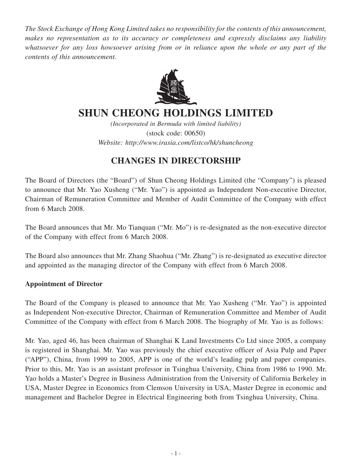*The Stock Exchange of Hong Kong Limited takes no responsibility for the contents of this announcement, makes no representation as to its accuracy or completeness and expressly disclaims any liability whatsoever for any loss howsoever arising from or in reliance upon the whole or any part of the contents of this announcement.*



# **SHUN CHEONG HOLDINGS LIMITED**

*(Incorporated in Bermuda with limited liability)* (stock code: 00650) *Website: http://www.irasia.com/listco/hk/shuncheong*

# **CHANGES IN DIRECTORSHIP**

The Board of Directors (the "Board") of Shun Cheong Holdings Limited (the "Company") is pleased to announce that Mr. Yao Xusheng ("Mr. Yao") is appointed as Independent Non-executive Director, Chairman of Remuneration Committee and Member of Audit Committee of the Company with effect from 6 March 2008.

The Board announces that Mr. Mo Tianquan ("Mr. Mo") is re-designated as the non-executive director of the Company with effect from 6 March 2008.

The Board also announces that Mr. Zhang Shaohua ("Mr. Zhang") is re-designated as executive director and appointed as the managing director of the Company with effect from 6 March 2008.

### **Appointment of Director**

The Board of the Company is pleased to announce that Mr. Yao Xusheng ("Mr. Yao") is appointed as Independent Non-executive Director, Chairman of Remuneration Committee and Member of Audit Committee of the Company with effect from 6 March 2008. The biography of Mr. Yao is as follows:

Mr. Yao, aged 46, has been chairman of Shanghai K Land Investments Co Ltd since 2005, a company is registered in Shanghai. Mr. Yao was previously the chief executive officer of Asia Pulp and Paper ("APP"), China, from 1999 to 2005, APP is one of the world's leading pulp and paper companies. Prior to this, Mr. Yao is an assistant professor in Tsinghua University, China from 1986 to 1990. Mr. Yao holds a Master's Degree in Business Administration from the University of California Berkeley in USA, Master Degree in Economics from Clemson University in USA, Master Degree in economic and management and Bachelor Degree in Electrical Engineering both from Tsinghua University, China.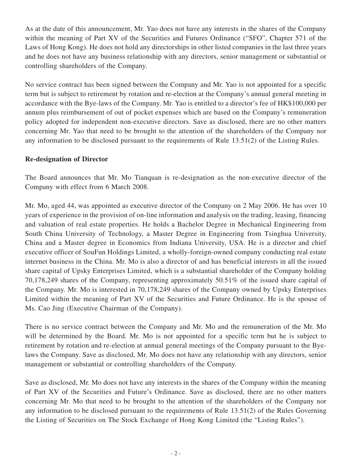As at the date of this announcement, Mr. Yao does not have any interests in the shares of the Company within the meaning of Part XV of the Securities and Futures Ordinance ("SFO", Chapter 571 of the Laws of Hong Kong). He does not hold any directorships in other listed companies in the last three years and he does not have any business relationship with any directors, senior management or substantial or controlling shareholders of the Company.

No service contract has been signed between the Company and Mr. Yao is not appointed for a specific term but is subject to retirement by rotation and re-election at the Company's annual general meeting in accordance with the Bye-laws of the Company. Mr. Yao is entitled to a director's fee of HK\$100,000 per annum plus reimbursement of out of pocket expenses which are based on the Company's remuneration policy adopted for independent non-executive directors. Save as disclosed, there are no other matters concerning Mr. Yao that need to be brought to the attention of the shareholders of the Company nor any information to be disclosed pursuant to the requirements of Rule 13.51(2) of the Listing Rules.

#### **Re-designation of Director**

The Board announces that Mr. Mo Tianquan is re-designation as the non-executive director of the Company with effect from 6 March 2008.

Mr. Mo, aged 44, was appointed as executive director of the Company on 2 May 2006. He has over 10 years of experience in the provision of on-line information and analysis on the trading, leasing, financing and valuation of real estate properties. He holds a Bachelor Degree in Mechanical Engineering from South China University of Technology, a Master Degree in Engineering from Tsinghua University, China and a Master degree in Economics from Indiana University, USA. He is a director and chief executive officer of SouFun Holdings Limited, a wholly-foreign-owned company conducting real estate internet business in the China. Mr. Mo is also a director of and has beneficial interests in all the issued share capital of Upsky Enterprises Limited, which is a substantial shareholder of the Company holding 70,178,249 shares of the Company, representing approximately 50.51% of the issued share capital of the Company. Mr. Mo is interested in 70,178,249 shares of the Company owned by Upsky Enterprises Limited within the meaning of Part XV of the Securities and Future Ordinance. He is the spouse of Ms. Cao Jing (Executive Chairman of the Company).

There is no service contract between the Company and Mr. Mo and the remuneration of the Mr. Mo will be determined by the Board. Mr. Mo is not appointed for a specific term but he is subject to retirement by rotation and re-election at annual general meetings of the Company pursuant to the Byelaws the Company. Save as disclosed, Mr. Mo does not have any relationship with any directors, senior management or substantial or controlling shareholders of the Company.

Save as disclosed, Mr. Mo does not have any interests in the shares of the Company within the meaning of Part XV of the Securities and Future's Ordinance. Save as disclosed, there are no other matters concerning Mr. Mo that need to be brought to the attention of the shareholders of the Company nor any information to be disclosed pursuant to the requirements of Rule 13.51(2) of the Rules Governing the Listing of Securities on The Stock Exchange of Hong Kong Limited (the "Listing Rules").